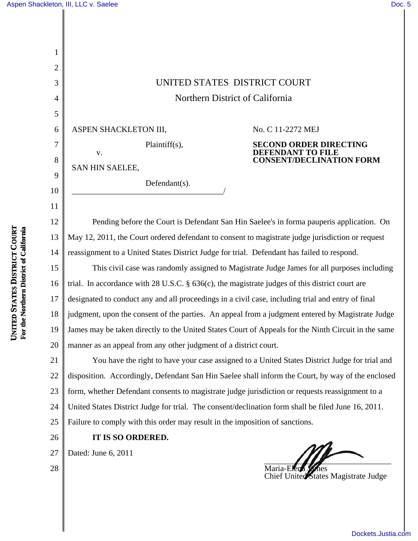1

2

3

4

5

6

7

8

9

10

11

## Northern District of California

ASPEN SHACKLETON III,

No. C 11-2272 MEJ

**DEFENDANT TO FILE**

**SECOND ORDER DIRECTING**

**CONSENT/DECLINATION FORM**

Plaintiff(s),

\_\_\_\_\_\_\_\_\_\_\_\_\_\_\_\_\_\_\_\_\_\_\_\_\_\_\_\_\_\_\_\_\_\_\_\_\_/

Defendant(s).

SAN HIN SAELEE,

v.

12 13 14 Pending before the Court is Defendant San Hin Saelee's in forma pauperis application. On May 12, 2011, the Court ordered defendant to consent to magistrate judge jurisdiction or request reassignment to a United States District Judge for trial. Defendant has failed to respond.

15 16 17 18 19 20 3<br>
Northern District of California<br>
5<br>
ASPEN SHACKLETON III, No. C 11-2272 M<br>
7<br>
2<br>
N. Plaintiff(s), SECOND DRDENDANT T<br>
8<br>
8<br>
SAN HIN SAELEE,<br>
10<br>
1<br>
12<br>
Pending before the Court is Defendant San Hin Saelee's in forma p<br> This civil case was randomly assigned to Magistrate Judge James for all purposes including trial. In accordance with 28 U.S.C. § 636(c), the magistrate judges of this district court are designated to conduct any and all proceedings in a civil case, including trial and entry of final judgment, upon the consent of the parties. An appeal from a judgment entered by Magistrate Judge James may be taken directly to the United States Court of Appeals for the Ninth Circuit in the same manner as an appeal from any other judgment of a district court.

21 22 23 24 25 You have the right to have your case assigned to a United States District Judge for trial and disposition. Accordingly, Defendant San Hin Saelee shall inform the Court, by way of the enclosed form, whether Defendant consents to magistrate judge jurisdiction or requests reassignment to a United States District Judge for trial. The consent/declination form shall be filed June 16, 2011. Failure to comply with this order may result in the imposition of sanctions.

26

28

**IT IS SO ORDERED.**

27

Dated: June 6, 2011

Maria-Elen Chief United States Magistrate Judge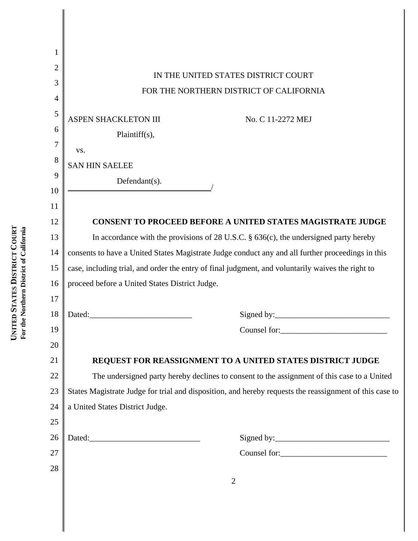| 1  |                                                                                                         |
|----|---------------------------------------------------------------------------------------------------------|
| 2  |                                                                                                         |
| 3  | IN THE UNITED STATES DISTRICT COURT                                                                     |
| 4  | FOR THE NORTHERN DISTRICT OF CALIFORNIA                                                                 |
| 5  |                                                                                                         |
| 6  | ASPEN SHACKLETON III<br>No. C 11-2272 MEJ                                                               |
| 7  | Plaintiff(s),                                                                                           |
| 8  | VS.                                                                                                     |
| 9  | <b>SAN HIN SAELEE</b>                                                                                   |
| 10 | Defendant(s).                                                                                           |
| 11 |                                                                                                         |
| 12 | <b>CONSENT TO PROCEED BEFORE A UNITED STATES MAGISTRATE JUDGE</b>                                       |
| 13 | In accordance with the provisions of 28 U.S.C. $\S$ 636(c), the undersigned party hereby                |
| 14 | consents to have a United States Magistrate Judge conduct any and all further proceedings in this       |
| 15 | case, including trial, and order the entry of final judgment, and voluntarily waives the right to       |
| 16 | proceed before a United States District Judge.                                                          |
| 17 |                                                                                                         |
| 18 | Signed by:<br>Dated:                                                                                    |
| 19 |                                                                                                         |
| 20 |                                                                                                         |
| 21 | REQUEST FOR REASSIGNMENT TO A UNITED STATES DISTRICT JUDGE                                              |
| 22 | The undersigned party hereby declines to consent to the assignment of this case to a United             |
| 23 | States Magistrate Judge for trial and disposition, and hereby requests the reassignment of this case to |
| 24 | a United States District Judge.                                                                         |
| 25 |                                                                                                         |
| 26 |                                                                                                         |
| 27 |                                                                                                         |
| 28 |                                                                                                         |
|    | $\overline{2}$                                                                                          |
|    |                                                                                                         |
|    |                                                                                                         |
|    |                                                                                                         |